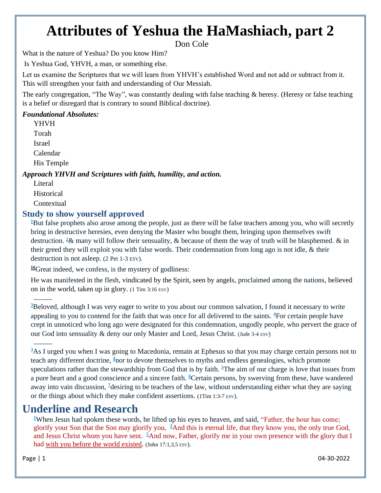# **Attributes of Yeshua the HaMashiach, part 2**

Don Cole

What is the nature of Yeshua? Do you know Him?

Is Yeshua God, YHVH, a man, or something else.

Let us examine the Scriptures that we will learn from YHVH's established Word and not add or subtract from it. This will strengthen your faith and understanding of Our Messiah.

The early congregation, "The Way", was constantly dealing with false teaching & heresy. (Heresy or false teaching is a belief or disregard that is contrary to sound Biblical doctrine).

### *Foundational Absolutes:*

YHVH Torah Israel

Calendar

His Temple

### *Approach YHVH and Scriptures with faith, humility, and action.*

**Literal** Historical **Contextual** 

## **Study to show yourself approved**

**<sup>1</sup>**[B](http://biblehub.com/2_peter/2-1.htm)ut false prophets also arose among the people, just as there will be false teachers among you, who will secretly bring in destructive heresies, even denying the Master who bought them, bringing upon themselves swift destruction. **[2](http://biblehub.com/2_peter/2-2.htm)**& many will follow their sensuality, & because of them the way of truth will be blasphemed. & in their greed they will exploit you with false words. Their condemnation from long ago is not idle, & their destruction is not asleep. (2 Pet 1-3 ESV).

**[16](http://biblehub.com/1_timothy/3-16.htm)**Great indeed, we confess, is the mystery of godliness:

He was manifested in the flesh, vindicated by the Spirit, seen by angels, proclaimed among the nations, believed on in the world, taken up in glory. (1 Tim 3:16 ESV)

### ---------

**<sup>3</sup>**[B](http://biblehub.com/jude/1-3.htm)eloved, although I was very eager to write to you about our common salvation, I found it necessary to write appealing to you to contend for the faith that was once for all delivered to the saints. **<sup>4</sup>**[F](http://biblehub.com/jude/1-4.htm)or certain people have crept in unnoticed who long ago were designated for this condemnation, ungodly people, who pervert the grace of our God into sensuality & deny our only Master and Lord, Jesus Christ. (Jude 3-4 ESV)

### ---------

<sup>3</sup>[A](http://biblehub.com/1_timothy/1-3.htm)s I urged you when I was going to Macedonia, remain at Ephesus so that you may charge certain persons not to teach any different doctrine, **<sup>4</sup>**[n](http://biblehub.com/1_timothy/1-4.htm)or to devote themselves to myths and endless genealogies, which promote speculations rather than the stewardship from God that is by faith.  $\frac{5}{2}$  $\frac{5}{2}$  $\frac{5}{2}$ The aim of our charge is love that issues from a pure heart and a good conscience and a sincere faith. **[6](http://biblehub.com/1_timothy/1-6.htm)**Certain persons, by swerving from these, have wandered away into vain discussion, **<sup>7</sup>**[d](http://biblehub.com/1_timothy/1-7.htm)esiring to be teachers of the law, without understanding either what they are saying or the things about which they make confident assertions. (1Tim 1:3-7 ESV).

# **Underline and Research**

**[1](http://biblehub.com/john/17-1.htm)**When Jesus had spoken these words, he lifted up his eyes to heaven, and said, "Father, the hour has come; glorify your Son that the Son may glorify you, **[3](http://biblehub.com/john/17-3.htm)**And this is eternal life, that they know you, the only true God, and Jesus Christ whom you have sent. **[5](http://biblehub.com/john/17-5.htm)**And now, Father, glorify me in your own presence with the glory that I had with you before the world existed. (John 17:1,3,5 ESV).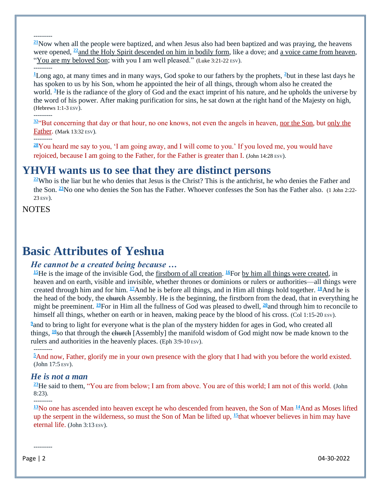**[21](http://biblehub.com/luke/3-21.htm)**Now when all the people were baptized, and when Jesus also had been baptized and was praying, the heavens were opened, **[22](http://biblehub.com/luke/3-22.htm)**and the Holy Spirit descended on him in bodily form, like a dove; and a voice came from heaven, "You are my beloved Son; with you I am well pleased." (Luke 3:21-22 ESV).

#### ---------

---------

**[1](http://biblehub.com/hebrews/1-1.htm)**Long ago, at many times and in many ways, God spoke to our fathers by the prophets, **[2](http://biblehub.com/hebrews/1-2.htm)**but in these last days he has spoken to us by his Son, whom he appointed the heir of all things, through whom also he created the world. **<sup>3</sup>**[H](http://biblehub.com/hebrews/1-3.htm)e is the radiance of the glory of God and the exact imprint of his nature, and he upholds the universe by the word of his power. After making purification for sins, he sat down at the right hand of the Majesty on high, (Hebrews 1:1-3 ESV). ---------

**[32](http://biblehub.com/mark/13-32.htm)**"But concerning that day or that hour, no one knows, not even the angels in heaven, nor the Son, but only the Father. (Mark 13:32 ESV).

#### ---------

**[28](http://biblehub.com/john/14-28.htm)**You heard me say to you, 'I am going away, and I will come to you.' If you loved me, you would have rejoiced, because I am going to the Father, for the Father is greater than I. (John 14:28 ESV).

# **YHVH wants us to see that they are distinct persons**

**[22](http://biblehub.com/1_john/2-22.htm)**Who is the liar but he who denies that Jesus is the Christ? This is the antichrist, he who denies the Father and the Son. **[23](http://biblehub.com/1_john/2-23.htm)**No one who denies the Son has the Father. Whoever confesses the Son has the Father also. (1 John 2:22- 23 ESV).

**NOTES** 

# **Basic Attributes of Yeshua**

### *He cannot be a created being because …*

**[15](http://biblehub.com/colossians/1-15.htm)**He is the image of the invisible God, the firstborn of all creation. **[16](http://biblehub.com/colossians/1-16.htm)**For by him all things were created, in heaven and on earth, visible and invisible, whether thrones or dominions or rulers or authorities—all things were created through him and for him. **[17](http://biblehub.com/colossians/1-17.htm)**And he is before all things, and in Him all things hold together. **[18](http://biblehub.com/colossians/1-18.htm)**And he is the head of the body, the church Assembly. He is the beginning, the firstborn from the dead, that in everything he might be preeminent. **[19](http://biblehub.com/colossians/1-19.htm)**For in Him all the fullness of God was pleased to dwell, **[20](http://biblehub.com/colossians/1-20.htm)**and through him to reconcile to himself all things, whether on earth or in heaven, making peace by the blood of his cross. (Col 1:15-20 ESV).

<sup>2</sup> [a](http://biblehub.com/ephesians/3-10.htm)nd to bring to light for everyone what is the plan of the mystery hidden for ages in God, who created all things, <sup>[10](http://biblehub.com/ephesians/3-10.htm)</sup>so that through the church [Assembly] the manifold wisdom of God might now be made known to the rulers and authorities in the heavenly places. (Eph 3:9-10 ESV).

 $\frac{5}{2}$  $\frac{5}{2}$  $\frac{5}{2}$ And now, Father, glorify me in your own presence with the glory that I had with you before the world existed. (John 17:5 ESV).

### *He is not a man*

---------

**[23](http://biblehub.com/john/8-23.htm)**He said to them, "You are from below; I am from above. You are of this world; I am not of this world. (John 8:23).

**[13](http://biblehub.com/john/3-13.htm)**No one has ascended into heaven except he who descended from heaven, the Son of Man **[14](http://biblehub.com/john/3-14.htm)**And as Moses lifted up the serpent in the wilderness, so must the Son of Man be lifted up, **[15](http://biblehub.com/john/3-15.htm)**that whoever believes in him may have eternal life. (John 3:13 ESV).

---------

Page | 2 04-30-2022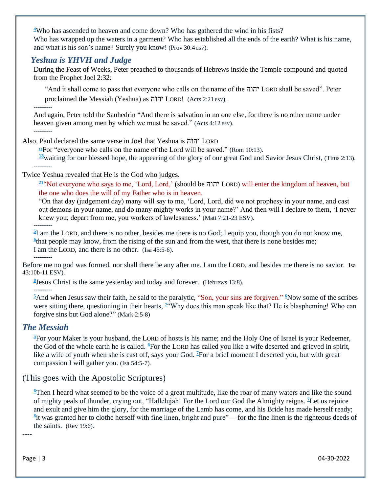**[4](http://biblehub.com/proverbs/30-4.htm)**Who has ascended to heaven and come down? Who has gathered the wind in his fists? Who has wrapped up the waters in a garment? Who has established all the ends of the earth? What is his name, and what is his son's name? Surely you know! (Prov 30:4 ESV).

## *Yeshua is YHVH and Judge*

During the Feast of Weeks, Peter preached to thousands of Hebrews inside the Temple compound and quoted from the Prophet Joel 2:32:

"And it shall come to pass that everyone who calls on the name of the יהוה LORD shall be saved". Peter proclaimed the Messiah (Yeshua) as יהוה LORD! (Acts 2:21 ESV).

---------

And again, Peter told the Sanhedrin ["A](http://biblehub.com/acts/4-12.htm)nd there is salvation in no one else, for there is no other name under heaven given among men by which we must be saved." (Acts  $4:12 \text{ esv}$ ).

---------

Also, Paul declared the same verse in Joel that Yeshua is יהוה LORD

**[13](http://biblehub.com/romans/10-13.htm)**For "everyone who calls on the name of the Lord will be saved." (Rom 10:13).

**[13](http://biblehub.com/titus/2-13.htm)**waiting for our blessed hope, the appearing of the glory of our great God and Savior Jesus Christ, (Titus 2:13).

---------

Twice Yeshua revealed that He is the God who judges.

**[21](http://biblehub.com/matthew/7-21.htm)**"Not everyone who says to me, 'Lord, Lord,' (should be יהוה LORD) will enter the kingdom of heaven, but the one who does the will of my Father who is in heaven.

["O](http://biblehub.com/matthew/7-22.htm)n that day (judgement day) many will say to me, 'Lord, Lord, did we not prophesy in your name, and cast out demons in your name, and do many mighty works in your name?' And then will I declare to them, 'I never knew you; depart from me, you workers of lawlessness.' (Matt 7:21-23 ESV).

---------

**[5](http://biblehub.com/isaiah/45-5.htm)** I am the LORD, and there is no other, besides me there is no God; I equip you, though you do not know me,  $6$ <sup>that people may know, from the rising of the sun and from the west, that there is none besides me;</sup> I am the LORD, and there is no other. (Isa 45:5-6). ---------

Before me no god was formed, nor shall there be any after me. I am the LORD, and besides me there is no savior. Isa 43:10b-11 ESV).

**[8](http://biblehub.com/hebrews/13-8.htm)** Jesus Christ is the same yesterday and today and forever. (Hebrews 13:8).

---------

**[5](http://biblehub.com/mark/2-5.htm)**And when Jesus saw their faith, he said to the paralytic, "Son, your sins are forgiven." **[6](http://biblehub.com/mark/2-6.htm)**Now some of the scribes were sitting there, questioning in their hearts, <sup>[7](http://biblehub.com/mark/2-7.htm)</sup> Why does this man speak like that? He is blaspheming! Who can forgive sins but God alone?" (Mark 2:5-8)

# *The Messiah*

**[5](http://biblehub.com/isaiah/54-5.htm)**For your Maker is your husband, the LORD of hosts is his name; and the Holy One of Israel is your Redeemer, the God of the whole earth he is called. **[6](http://biblehub.com/isaiah/54-6.htm)**For the LORD has called you like a wife deserted and grieved in spirit, like a wife of youth when she is cast off, says your God. **<sup>7</sup>**[F](http://biblehub.com/isaiah/54-7.htm)or a brief moment I deserted you, but with great compassion I will gather you. (Isa 54:5-7).

# (This goes with the Apostolic Scriptures)

**[6](http://biblehub.com/revelation/19-6.htm)**Then I heard what seemed to be the voice of a great multitude, like the roar of many waters and like the sound of mighty peals of thunder, crying out, "Hallelujah! For the Lord our God the Almighty reigns. **[7](http://biblehub.com/revelation/19-7.htm)**Let us rejoice and exult and give him the glory, for the marriage of the Lamb has come, and his Bride has made herself ready; **[8](http://biblehub.com/revelation/19-8.htm)** it was granted her to clothe herself with fine linen, bright and pure"— for the fine linen is the righteous deeds of the saints. (Rev 19:6).

----